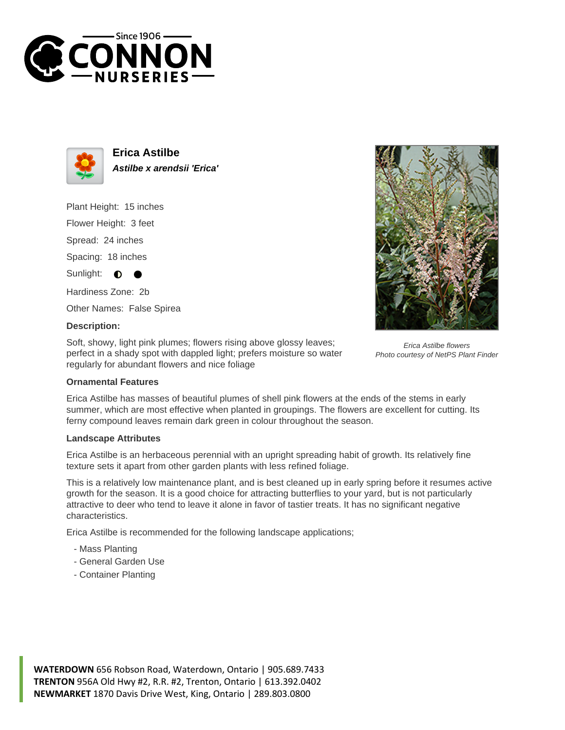



**Erica Astilbe Astilbe x arendsii 'Erica'**

Plant Height: 15 inches

Flower Height: 3 feet

Spread: 24 inches

Spacing: 18 inches

Sunlight:  $\bullet$ 

Hardiness Zone: 2b

Other Names: False Spirea

## **Description:**

Soft, showy, light pink plumes; flowers rising above glossy leaves; perfect in a shady spot with dappled light; prefers moisture so water regularly for abundant flowers and nice foliage



## **Ornamental Features**

Erica Astilbe has masses of beautiful plumes of shell pink flowers at the ends of the stems in early summer, which are most effective when planted in groupings. The flowers are excellent for cutting. Its ferny compound leaves remain dark green in colour throughout the season.

## **Landscape Attributes**

Erica Astilbe is an herbaceous perennial with an upright spreading habit of growth. Its relatively fine texture sets it apart from other garden plants with less refined foliage.

This is a relatively low maintenance plant, and is best cleaned up in early spring before it resumes active growth for the season. It is a good choice for attracting butterflies to your yard, but is not particularly attractive to deer who tend to leave it alone in favor of tastier treats. It has no significant negative characteristics.

Erica Astilbe is recommended for the following landscape applications;

- Mass Planting
- General Garden Use
- Container Planting

**WATERDOWN** 656 Robson Road, Waterdown, Ontario | 905.689.7433 **TRENTON** 956A Old Hwy #2, R.R. #2, Trenton, Ontario | 613.392.0402 **NEWMARKET** 1870 Davis Drive West, King, Ontario | 289.803.0800